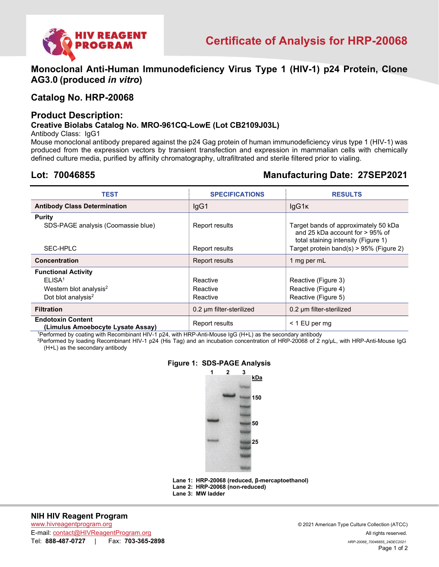

**Monoclonal Anti-Human Immunodeficiency Virus Type 1 (HIV-1) p24 Protein, Clone AG3.0 (produced** *in vitro***)** 

# **Catalog No. HRP-20068**

# **Product Description:**

# **Creative Biolabs Catalog No. MRO-961CQ-LowE (Lot CB2109J03L)**

Antibody Class: IgG1

Mouse monoclonal antibody prepared against the p24 Gag protein of human immunodeficiency virus type 1 (HIV-1) was produced from the expression vectors by transient transfection and expression in mammalian cells with chemically defined culture media, purified by affinity chromatography, ultrafiltrated and sterile filtered prior to vialing.

# **Lot: 70046855 Manufacturing Date: 27SEP2021**

| <b>TEST</b>                                                                                                              | <b>SPECIFICATIONS</b>            | <b>RESULTS</b>                                                                                                    |
|--------------------------------------------------------------------------------------------------------------------------|----------------------------------|-------------------------------------------------------------------------------------------------------------------|
| <b>Antibody Class Determination</b>                                                                                      | lgG1                             | lgG1K                                                                                                             |
| <b>Purity</b><br>SDS-PAGE analysis (Coomassie blue)                                                                      | Report results                   | Target bands of approximately 50 kDa<br>and 25 kDa account for $> 95\%$ of<br>total staining intensity (Figure 1) |
| SEC-HPLC                                                                                                                 | Report results                   | Target protein band(s) $> 95\%$ (Figure 2)                                                                        |
| Concentration                                                                                                            | Report results                   | 1 mg per mL                                                                                                       |
| <b>Functional Activity</b><br>ELISA <sup>1</sup><br>Western blot analysis <sup>2</sup><br>Dot blot analysis <sup>2</sup> | Reactive<br>Reactive<br>Reactive | Reactive (Figure 3)<br>Reactive (Figure 4)<br>Reactive (Figure 5)                                                 |
| <b>Filtration</b>                                                                                                        | 0.2 um filter-sterilized         | 0.2 um filter-sterilized                                                                                          |
| <b>Endotoxin Content</b><br>(Limulus Amoebocyte Lysate Assay)                                                            | Report results                   | $<$ 1 EU per mg                                                                                                   |

1 Performed by coating with Recombinant HIV-1 p24, with HRP-Anti-Mouse IgG (H+L) as the secondary antibody

2 Performed by loading Recombinant HIV-1 p24 (His Tag) and an incubation concentration of HRP-20068 of 2 ng/µL, with HRP-Anti-Mouse IgG (H+L) as the secondary antibody

### **Figure 1: SDS-PAGE Analysis**



**Lane 1: HRP-20068 (reduced, β-mercaptoethanol) Lane 2: HRP-20068 (non-reduced) Lane 3: MW ladder**

## **NIH HIV Reagent Program**

www.hivreagentprogram.org © 2021 American Type Culture Collection (ATCC) E-mail: contact@HIVReagentProgram.org All rights reserved. Tel: **888-487-0727** | Fax: **703-365-2898** *HRP-20068\_70046855\_24DEC2021*